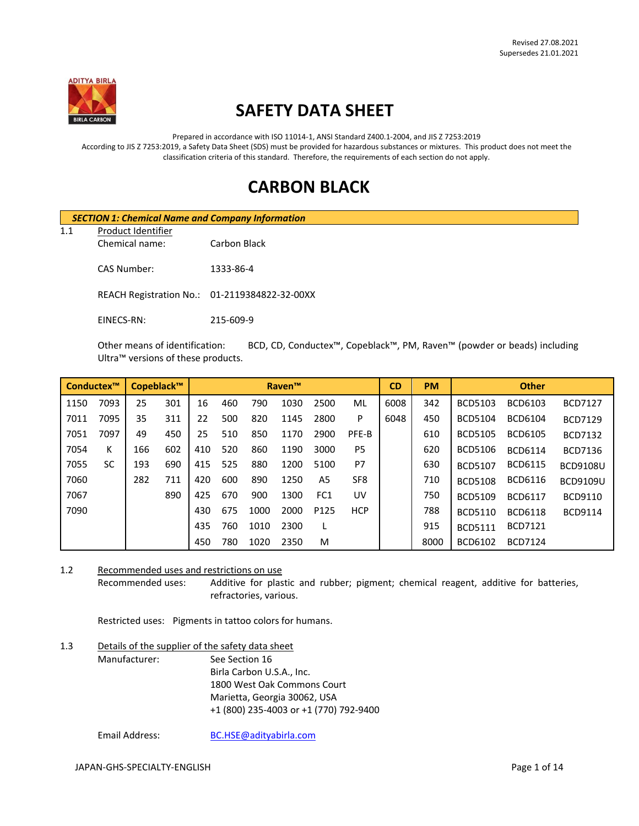

# **SAFETY DATA SHEET**

Prepared in accordance with ISO 11014-1, ANSI Standard Z400.1-2004, and JIS Z 7253:2019 According to JIS Z 7253:2019, a Safety Data Sheet (SDS) must be provided for hazardous substances or mixtures. This product does not meet the classification criteria of this standard. Therefore, the requirements of each section do not apply.

# **CARBON BLACK**

|     | <b>SECTION 1: Chemical Name and Company Information</b> |                                               |  |  |  |
|-----|---------------------------------------------------------|-----------------------------------------------|--|--|--|
| 1.1 |                                                         |                                               |  |  |  |
|     | Chemical name:                                          | Carbon Black                                  |  |  |  |
|     | CAS Number:                                             | 1333-86-4                                     |  |  |  |
|     |                                                         | REACH Registration No.: 01-2119384822-32-00XX |  |  |  |
|     | EINECS-RN:                                              | 215-609-9                                     |  |  |  |

Other means of identification: BCD, CD, Conductex™, Copeblack™, PM, Raven™ (powder or beads) including Ultra™ versions of these products.

| Conductex™ |           |     | Copeblack™ |     |     |      | <b>Raven™</b> |                 |                 | <b>CD</b> | <b>PM</b> |                | <b>Other</b>   |                 |
|------------|-----------|-----|------------|-----|-----|------|---------------|-----------------|-----------------|-----------|-----------|----------------|----------------|-----------------|
| 1150       | 7093      | 25  | 301        | 16  | 460 | 790  | 1030          | 2500            | ML              | 6008      | 342       | <b>BCD5103</b> | BCD6103        | <b>BCD7127</b>  |
| 7011       | 7095      | 35  | 311        | 22  | 500 | 820  | 1145          | 2800            | P               | 6048      | 450       | <b>BCD5104</b> | <b>BCD6104</b> | <b>BCD7129</b>  |
| 7051       | 7097      | 49  | 450        | 25  | 510 | 850  | 1170          | 2900            | PFE-B           |           | 610       | <b>BCD5105</b> | <b>BCD6105</b> | <b>BCD7132</b>  |
| 7054       | К         | 166 | 602        | 410 | 520 | 860  | 1190          | 3000            | P <sub>5</sub>  |           | 620       | <b>BCD5106</b> | <b>BCD6114</b> | <b>BCD7136</b>  |
| 7055       | <b>SC</b> | 193 | 690        | 415 | 525 | 880  | 1200          | 5100            | P7              |           | 630       | <b>BCD5107</b> | <b>BCD6115</b> | <b>BCD9108U</b> |
| 7060       |           | 282 | 711        | 420 | 600 | 890  | 1250          | A5              | SF <sub>8</sub> |           | 710       | <b>BCD5108</b> | <b>BCD6116</b> | <b>BCD9109U</b> |
| 7067       |           |     | 890        | 425 | 670 | 900  | 1300          | FC <sub>1</sub> | UV              |           | 750       | <b>BCD5109</b> | <b>BCD6117</b> | BCD9110         |
| 7090       |           |     |            | 430 | 675 | 1000 | 2000          | P125            | <b>HCP</b>      |           | 788       | <b>BCD5110</b> | <b>BCD6118</b> | <b>BCD9114</b>  |
|            |           |     |            | 435 | 760 | 1010 | 2300          |                 |                 |           | 915       | <b>BCD5111</b> | <b>BCD7121</b> |                 |
|            |           |     |            | 450 | 780 | 1020 | 2350          | M               |                 |           | 8000      | BCD6102        | <b>BCD7124</b> |                 |

1.2 Recommended uses and restrictions on use Recommended uses: Additive for plastic and rubber; pigment; chemical reagent, additive for batteries, refractories, various.

Restricted uses: Pigments in tattoo colors for humans.

# 1.3 Details of the supplier of the safety data sheet Manufacturer: See Section 16 Birla Carbon U.S.A., Inc. 1800 West Oak Commons Court Marietta, Georgia 30062, USA +1 (800) 235-4003 or +1 (770) 792-9400

Email Address: [BC.HSE@adityabirla.com](mailto:BC.HSE@adityabirla.com)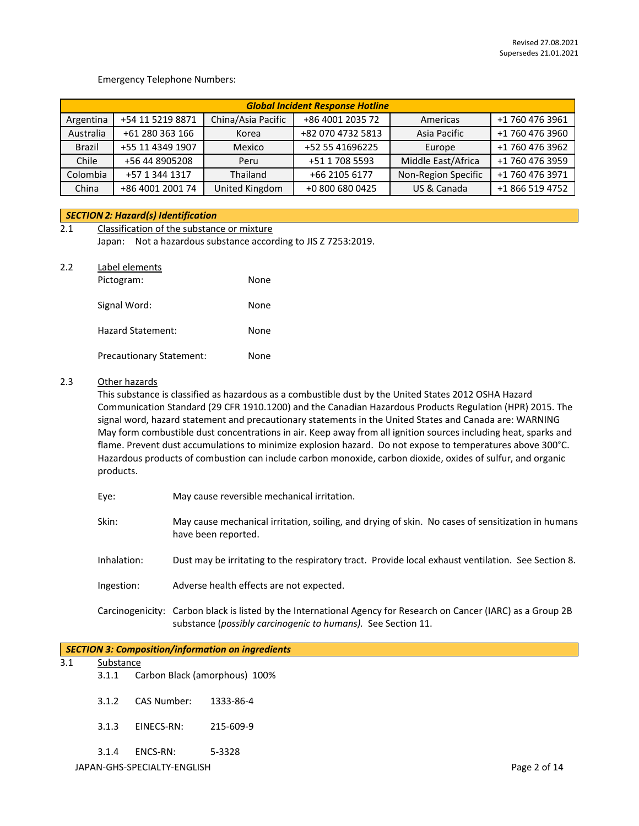#### Emergency Telephone Numbers:

|               | <b>Global Incident Response Hotline</b> |                    |                   |                     |                 |
|---------------|-----------------------------------------|--------------------|-------------------|---------------------|-----------------|
| Argentina     | +54 11 5219 8871                        | China/Asia Pacific | +86 4001 2035 72  | Americas            | +1 760 476 3961 |
| Australia     | +61 280 363 166                         | Korea              | +82 070 4732 5813 | Asia Pacific        | +1 760 476 3960 |
| <b>Brazil</b> | +55 11 4349 1907                        | Mexico             | +52 55 41696225   | Europe              | +1 760 476 3962 |
| Chile         | +56 44 8905208                          | Peru               | +51 1 708 5593    | Middle East/Africa  | +1 760 476 3959 |
| Colombia      | +57 1 344 1317                          | Thailand           | +66 2105 6177     | Non-Region Specific | +1 760 476 3971 |
| China         | +86 4001 2001 74                        | United Kingdom     | +0 800 680 0425   | US & Canada         | +1 866 519 4752 |

#### *SECTION 2: Hazard(s) Identification*

| 2.1 | Classification of the substance or mixture |                                                         |  |  |  |  |
|-----|--------------------------------------------|---------------------------------------------------------|--|--|--|--|
|     | Japan:                                     | Not a hazardous substance according to JIS Z 7253:2019. |  |  |  |  |
| 2.2 | Label elements<br>Pictogram:               | None                                                    |  |  |  |  |
|     | Signal Word:                               | None                                                    |  |  |  |  |

Precautionary Statement: None

Hazard Statement: None

#### 2.3 Other hazards

This substance is classified as hazardous as a combustible dust by the United States 2012 OSHA Hazard Communication Standard (29 CFR 1910.1200) and the Canadian Hazardous Products Regulation (HPR) 2015. The signal word, hazard statement and precautionary statements in the United States and Canada are: WARNING May form combustible dust concentrations in air. Keep away from all ignition sources including heat, sparks and flame. Prevent dust accumulations to minimize explosion hazard. Do not expose to temperatures above 300°C. Hazardous products of combustion can include carbon monoxide, carbon dioxide, oxides of sulfur, and organic products.

| Eye:        | May cause reversible mechanical irritation.                                                                                                                                     |
|-------------|---------------------------------------------------------------------------------------------------------------------------------------------------------------------------------|
| Skin:       | May cause mechanical irritation, soiling, and drying of skin. No cases of sensitization in humans<br>have been reported.                                                        |
| Inhalation: | Dust may be irritating to the respiratory tract. Provide local exhaust ventilation. See Section 8.                                                                              |
| Ingestion:  | Adverse health effects are not expected.                                                                                                                                        |
|             | Carcinogenicity: Carbon black is listed by the International Agency for Research on Cancer (IARC) as a Group 2B<br>substance (possibly carcinogenic to humans). See Section 11. |

#### *SECTION 3: Composition/information on ingredients*

- 3.1 Substance
	- 3.1.1 Carbon Black (amorphous) 100%
	- 3.1.2 CAS Number: 1333-86-4
	- 3.1.3 EINECS-RN: 215-609-9
	- 3.1.4 ENCS-RN: 5-3328

JAPAN-GHS-SPECIALTY-ENGLISH Page 2 of 14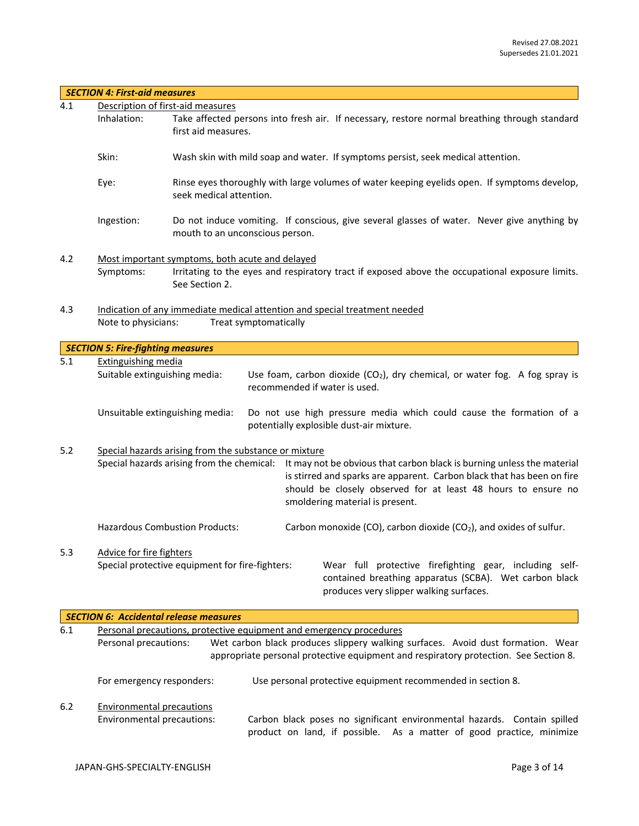|       | <b>SECTION 4: First-aid measures</b>                                                                                       |                                                                                                                                                                                                                                                                                                                                                          |  |  |  |  |
|-------|----------------------------------------------------------------------------------------------------------------------------|----------------------------------------------------------------------------------------------------------------------------------------------------------------------------------------------------------------------------------------------------------------------------------------------------------------------------------------------------------|--|--|--|--|
| 4.1   |                                                                                                                            | Description of first-aid measures                                                                                                                                                                                                                                                                                                                        |  |  |  |  |
|       | Inhalation:                                                                                                                | Take affected persons into fresh air. If necessary, restore normal breathing through standard<br>first aid measures.                                                                                                                                                                                                                                     |  |  |  |  |
|       | Skin:                                                                                                                      | Wash skin with mild soap and water. If symptoms persist, seek medical attention.                                                                                                                                                                                                                                                                         |  |  |  |  |
|       | Eye:                                                                                                                       | Rinse eyes thoroughly with large volumes of water keeping eyelids open. If symptoms develop,<br>seek medical attention.                                                                                                                                                                                                                                  |  |  |  |  |
|       | Ingestion:                                                                                                                 | Do not induce vomiting. If conscious, give several glasses of water. Never give anything by<br>mouth to an unconscious person.                                                                                                                                                                                                                           |  |  |  |  |
| 4.2   | Symptoms:                                                                                                                  | Most important symptoms, both acute and delayed<br>Irritating to the eyes and respiratory tract if exposed above the occupational exposure limits.<br>See Section 2.                                                                                                                                                                                     |  |  |  |  |
| 4.3   | Indication of any immediate medical attention and special treatment needed<br>Note to physicians:<br>Treat symptomatically |                                                                                                                                                                                                                                                                                                                                                          |  |  |  |  |
|       | <b>SECTION 5: Fire-fighting measures</b>                                                                                   |                                                                                                                                                                                                                                                                                                                                                          |  |  |  |  |
| 5.1   | <b>Extinguishing media</b>                                                                                                 |                                                                                                                                                                                                                                                                                                                                                          |  |  |  |  |
|       | Suitable extinguishing media:                                                                                              | Use foam, carbon dioxide $(CO_2)$ , dry chemical, or water fog. A fog spray is<br>recommended if water is used.                                                                                                                                                                                                                                          |  |  |  |  |
|       |                                                                                                                            | Unsuitable extinguishing media:<br>Do not use high pressure media which could cause the formation of a<br>potentially explosible dust-air mixture.                                                                                                                                                                                                       |  |  |  |  |
| 5.2   |                                                                                                                            | Special hazards arising from the substance or mixture<br>Special hazards arising from the chemical: It may not be obvious that carbon black is burning unless the material<br>is stirred and sparks are apparent. Carbon black that has been on fire<br>should be closely observed for at least 48 hours to ensure no<br>smoldering material is present. |  |  |  |  |
|       |                                                                                                                            | <b>Hazardous Combustion Products:</b><br>Carbon monoxide (CO), carbon dioxide (CO <sub>2</sub> ), and oxides of sulfur.                                                                                                                                                                                                                                  |  |  |  |  |
| 5.3   | Advice for fire fighters                                                                                                   | Special protective equipment for fire-fighters:<br>Wear full protective firefighting gear, including self-<br>contained breathing apparatus (SCBA). Wet carbon black<br>produces very slipper walking surfaces.                                                                                                                                          |  |  |  |  |
|       |                                                                                                                            | <b>SECTION 6: Accidental release measures</b>                                                                                                                                                                                                                                                                                                            |  |  |  |  |
| 6.1   |                                                                                                                            | Personal precautions, protective equipment and emergency procedures                                                                                                                                                                                                                                                                                      |  |  |  |  |
|       | Personal precautions:                                                                                                      | Wet carbon black produces slippery walking surfaces. Avoid dust formation. Wear<br>appropriate personal protective equipment and respiratory protection. See Section 8.                                                                                                                                                                                  |  |  |  |  |
|       | For emergency responders:                                                                                                  | Use personal protective equipment recommended in section 8.                                                                                                                                                                                                                                                                                              |  |  |  |  |
| $6.2$ | <b>Environmental precautions</b>                                                                                           |                                                                                                                                                                                                                                                                                                                                                          |  |  |  |  |
|       | Environmental precautions:                                                                                                 | Carbon black poses no significant environmental hazards. Contain spilled<br>product on land, if possible. As a matter of good practice, minimize                                                                                                                                                                                                         |  |  |  |  |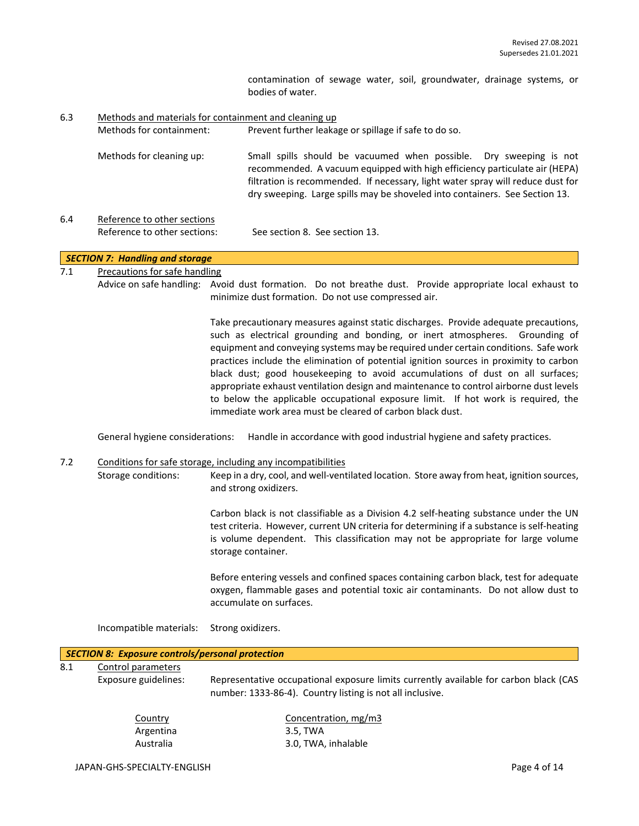contamination of sewage water, soil, groundwater, drainage systems, or bodies of water.

6.3 Methods and materials for containment and cleaning up Methods for containment: Prevent further leakage or spillage if safe to do so. Methods for cleaning up: Small spills should be vacuumed when possible. Dry sweeping is not recommended. A vacuum equipped with high efficiency particulate air (HEPA) filtration is recommended. If necessary, light water spray will reduce dust for dry sweeping. Large spills may be shoveled into containers. See Section 13. 6.4 Reference to other sections Reference to other sections: See section 8. See section 13.

## *SECTION 7: Handling and storage*

#### 7.1 Precautions for safe handling

Advice on safe handling: Avoid dust formation. Do not breathe dust. Provide appropriate local exhaust to minimize dust formation. Do not use compressed air.

> Take precautionary measures against static discharges. Provide adequate precautions, such as electrical grounding and bonding, or inert atmospheres. Grounding of equipment and conveying systems may be required under certain conditions. Safe work practices include the elimination of potential ignition sources in proximity to carbon black dust; good housekeeping to avoid accumulations of dust on all surfaces; appropriate exhaust ventilation design and maintenance to control airborne dust levels to below the applicable occupational exposure limit. If hot work is required, the immediate work area must be cleared of carbon black dust.

General hygiene considerations: Handle in accordance with good industrial hygiene and safety practices.

#### 7.2 Conditions for safe storage, including any incompatibilities

Storage conditions: Keep in a dry, cool, and well-ventilated location. Store away from heat, ignition sources, and strong oxidizers.

> Carbon black is not classifiable as a Division 4.2 self-heating substance under the UN test criteria. However, current UN criteria for determining if a substance is self-heating is volume dependent. This classification may not be appropriate for large volume storage container.

> Before entering vessels and confined spaces containing carbon black, test for adequate oxygen, flammable gases and potential toxic air contaminants. Do not allow dust to accumulate on surfaces.

Incompatible materials: Strong oxidizers.

|      | SECTION 8: Exposure controls/personal protection |
|------|--------------------------------------------------|
| -8.1 | Control parameters                               |

Exposure guidelines: Representative occupational exposure limits currently available for carbon black (CAS number: 1333-86-4). Country listing is not all inclusive.

| Country   |  |
|-----------|--|
| Argentina |  |
| Australia |  |

Concentration, mg/m3 3.5, TWA 3.0, TWA, inhalable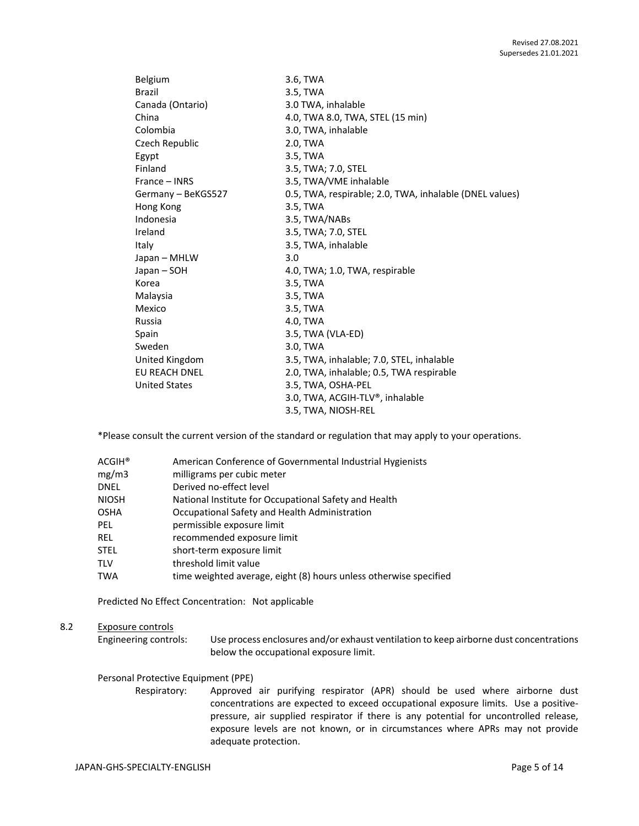| Belgium              | 3.6, TWA                                                |
|----------------------|---------------------------------------------------------|
| <b>Brazil</b>        | 3.5, TWA                                                |
| Canada (Ontario)     | 3.0 TWA, inhalable                                      |
| China                | 4.0, TWA 8.0, TWA, STEL (15 min)                        |
| Colombia             | 3.0, TWA, inhalable                                     |
| Czech Republic       | 2.0, TWA                                                |
| Egypt                | 3.5, TWA                                                |
| Finland              | 3.5, TWA; 7.0, STEL                                     |
| France – INRS        | 3.5, TWA/VME inhalable                                  |
| Germany - BeKGS527   | 0.5, TWA, respirable; 2.0, TWA, inhalable (DNEL values) |
| Hong Kong            | 3.5, TWA                                                |
| Indonesia            | 3.5, TWA/NABs                                           |
| Ireland              | 3.5, TWA; 7.0, STEL                                     |
| Italy                | 3.5, TWA, inhalable                                     |
| Japan - MHLW         | 3.0                                                     |
| Japan – SOH          | 4.0, TWA; 1.0, TWA, respirable                          |
| Korea                | 3.5, TWA                                                |
| Malaysia             | 3.5, TWA                                                |
| Mexico               | 3.5, TWA                                                |
| Russia               | 4.0, TWA                                                |
| Spain                | 3.5, TWA (VLA-ED)                                       |
| Sweden               | 3.0, TWA                                                |
| United Kingdom       | 3.5, TWA, inhalable; 7.0, STEL, inhalable               |
| EU REACH DNEL        | 2.0, TWA, inhalable; 0.5, TWA respirable                |
| <b>United States</b> | 3.5, TWA, OSHA-PEL                                      |
|                      | 3.0, TWA, ACGIH-TLV®, inhalable                         |
|                      | 3.5, TWA, NIOSH-REL                                     |

\*Please consult the current version of the standard or regulation that may apply to your operations.

| $\mathsf{ACGIH}^\circledast$ | American Conference of Governmental Industrial Hygienists         |
|------------------------------|-------------------------------------------------------------------|
| mg/m3                        | milligrams per cubic meter                                        |
| DNEL                         | Derived no-effect level                                           |
| NIOSH                        | National Institute for Occupational Safety and Health             |
| OSHA                         | Occupational Safety and Health Administration                     |
| PEL                          | permissible exposure limit                                        |
| rel                          | recommended exposure limit                                        |
| STEL                         | short-term exposure limit                                         |
| TLV                          | threshold limit value                                             |
| TWA                          | time weighted average, eight (8) hours unless otherwise specified |
|                              |                                                                   |

Predicted No Effect Concentration: Not applicable

## 8.2 Exposure controls

Engineering controls: Use process enclosures and/or exhaust ventilation to keep airborne dust concentrations below the occupational exposure limit.

#### Personal Protective Equipment (PPE)

Respiratory: Approved air purifying respirator (APR) should be used where airborne dust concentrations are expected to exceed occupational exposure limits. Use a positivepressure, air supplied respirator if there is any potential for uncontrolled release, exposure levels are not known, or in circumstances where APRs may not provide adequate protection.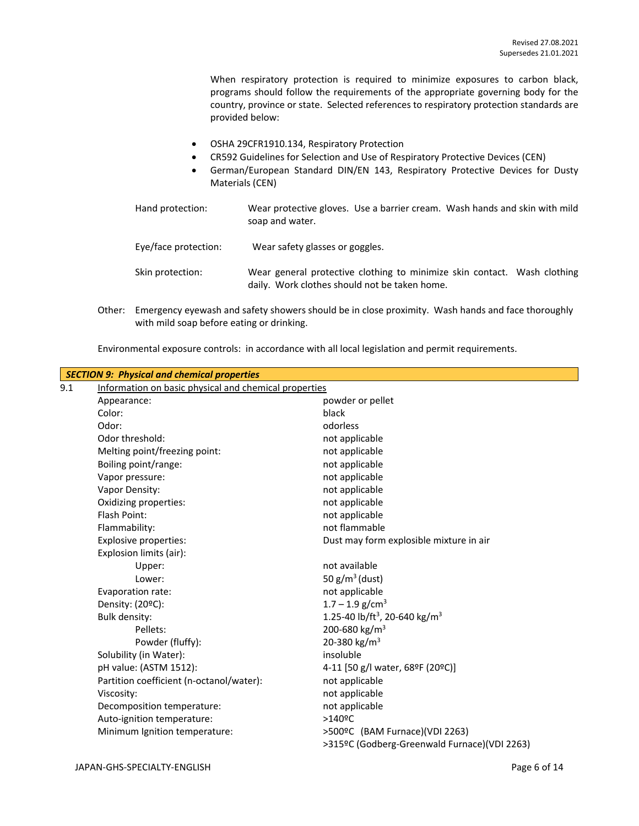When respiratory protection is required to minimize exposures to carbon black, programs should follow the requirements of the appropriate governing body for the country, province or state. Selected references to respiratory protection standards are provided below:

- OSHA 29CFR1910.134, Respiratory Protection
- CR592 Guidelines for Selection and Use of Respiratory Protective Devices (CEN)
- German/European Standard DIN/EN 143, Respiratory Protective Devices for Dusty Materials (CEN)
- Hand protection: Wear protective gloves. Use a barrier cream. Wash hands and skin with mild soap and water. Eye/face protection: Wear safety glasses or goggles. Skin protection: Wear general protective clothing to minimize skin contact. Wash clothing daily. Work clothes should not be taken home.
- Other: Emergency eyewash and safety showers should be in close proximity. Wash hands and face thoroughly with mild soap before eating or drinking.

Environmental exposure controls: in accordance with all local legislation and permit requirements.

|     | <b>SECTION 9: Physical and chemical properties</b>    |                                                       |  |  |  |  |
|-----|-------------------------------------------------------|-------------------------------------------------------|--|--|--|--|
| 9.1 | Information on basic physical and chemical properties |                                                       |  |  |  |  |
|     | Appearance:                                           | powder or pellet                                      |  |  |  |  |
|     | Color:                                                | black                                                 |  |  |  |  |
|     | Odor:                                                 | odorless                                              |  |  |  |  |
|     | Odor threshold:                                       | not applicable                                        |  |  |  |  |
|     | Melting point/freezing point:                         | not applicable                                        |  |  |  |  |
|     | Boiling point/range:                                  | not applicable                                        |  |  |  |  |
|     | Vapor pressure:                                       | not applicable                                        |  |  |  |  |
|     | Vapor Density:                                        | not applicable                                        |  |  |  |  |
|     | Oxidizing properties:                                 | not applicable                                        |  |  |  |  |
|     | Flash Point:                                          | not applicable                                        |  |  |  |  |
|     | Flammability:                                         | not flammable                                         |  |  |  |  |
|     | <b>Explosive properties:</b>                          | Dust may form explosible mixture in air               |  |  |  |  |
|     | Explosion limits (air):                               |                                                       |  |  |  |  |
|     | Upper:                                                | not available                                         |  |  |  |  |
|     | Lower:                                                | 50 $g/m^3$ (dust)                                     |  |  |  |  |
|     | Evaporation rate:                                     | not applicable                                        |  |  |  |  |
|     | Density: (20°C):                                      | $1.7 - 1.9$ g/cm <sup>3</sup>                         |  |  |  |  |
|     | Bulk density:                                         | 1.25-40 lb/ft <sup>3</sup> , 20-640 kg/m <sup>3</sup> |  |  |  |  |
|     | Pellets:                                              | 200-680 kg/m <sup>3</sup>                             |  |  |  |  |
|     | Powder (fluffy):                                      | 20-380 kg/m <sup>3</sup>                              |  |  |  |  |
|     | Solubility (in Water):                                | insoluble                                             |  |  |  |  |
|     | pH value: (ASTM 1512):                                | 4-11 [50 g/l water, 68ºF (20ºC)]                      |  |  |  |  |
|     | Partition coefficient (n-octanol/water):              | not applicable                                        |  |  |  |  |
|     | Viscosity:                                            | not applicable                                        |  |  |  |  |
|     | Decomposition temperature:                            | not applicable                                        |  |  |  |  |
|     | Auto-ignition temperature:                            | >140°C                                                |  |  |  |  |
|     | Minimum Ignition temperature:                         | >500ºC (BAM Furnace)(VDI 2263)                        |  |  |  |  |
|     |                                                       | >315ºC (Godberg-Greenwald Furnace)(VDI 2263)          |  |  |  |  |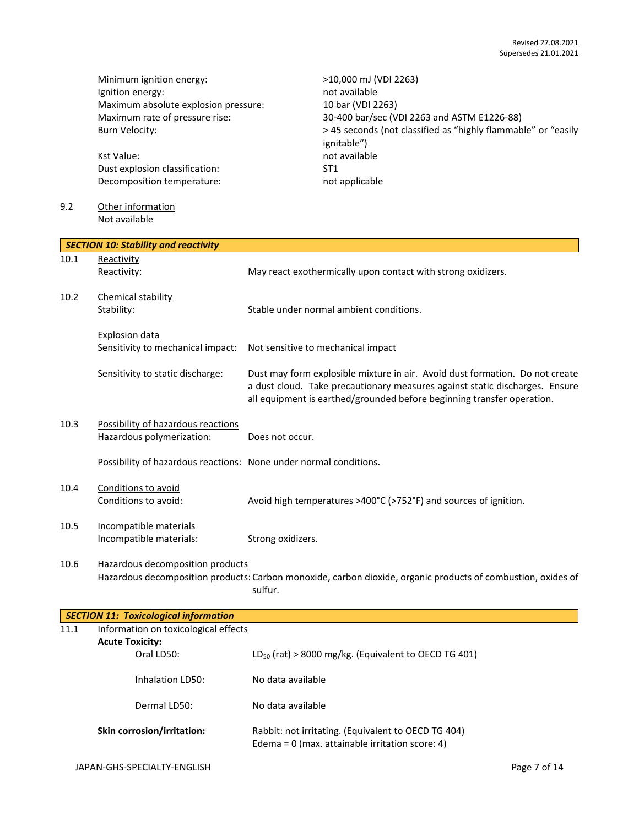Minimum ignition energy:<br>
lgnition energy:  $\frac{10,000 \text{ mJ (VDI 2263)}}{1000 \text{ mJ (VDI 2263)}}$ Ignition energy: Maximum absolute explosion pressure: 10 bar (VDI 2263)

Kst Value: not available Dust explosion classification: ST1 Decomposition temperature: not applicable

### 9.2 Other information Not available

Maximum rate of pressure rise: 30-400 bar/sec (VDI 2263 and ASTM E1226-88) Burn Velocity:  $> 45$  seconds (not classified as "highly flammable" or "easily ignitable")

|      | <b>SECTION 10: Stability and reactivity</b>                       |                                                                                                                                                                                                                                       |
|------|-------------------------------------------------------------------|---------------------------------------------------------------------------------------------------------------------------------------------------------------------------------------------------------------------------------------|
| 10.1 | Reactivity<br>Reactivity:                                         | May react exothermically upon contact with strong oxidizers.                                                                                                                                                                          |
| 10.2 | Chemical stability<br>Stability:                                  | Stable under normal ambient conditions.                                                                                                                                                                                               |
|      | <b>Explosion data</b><br>Sensitivity to mechanical impact:        | Not sensitive to mechanical impact                                                                                                                                                                                                    |
|      | Sensitivity to static discharge:                                  | Dust may form explosible mixture in air. Avoid dust formation. Do not create<br>a dust cloud. Take precautionary measures against static discharges. Ensure<br>all equipment is earthed/grounded before beginning transfer operation. |
| 10.3 | Possibility of hazardous reactions<br>Hazardous polymerization:   | Does not occur.                                                                                                                                                                                                                       |
|      | Possibility of hazardous reactions: None under normal conditions. |                                                                                                                                                                                                                                       |
| 10.4 | Conditions to avoid<br>Conditions to avoid:                       | Avoid high temperatures >400°C (>752°F) and sources of ignition.                                                                                                                                                                      |
| 10.5 | Incompatible materials<br>Incompatible materials:                 | Strong oxidizers.                                                                                                                                                                                                                     |
| 10.6 | Hazardous decomposition products                                  | Hazardous decomposition products: Carbon monoxide, carbon dioxide, organic products of combustion, oxides of<br>sulfur.                                                                                                               |

|      | <b>SECTION 11: Toxicological information</b> |                                                                                                          |
|------|----------------------------------------------|----------------------------------------------------------------------------------------------------------|
| 11.1 | Information on toxicological effects         |                                                                                                          |
|      |                                              |                                                                                                          |
|      | Oral LD50:                                   | $LD_{50}$ (rat) > 8000 mg/kg. (Equivalent to OECD TG 401)                                                |
|      | Inhalation ID50:                             | No data available                                                                                        |
|      | Dermal LD50:                                 | No data available                                                                                        |
|      | <b>Skin corrosion/irritation:</b>            | Rabbit: not irritating. (Equivalent to OECD TG 404)<br>Edema = $0$ (max. attainable irritation score: 4) |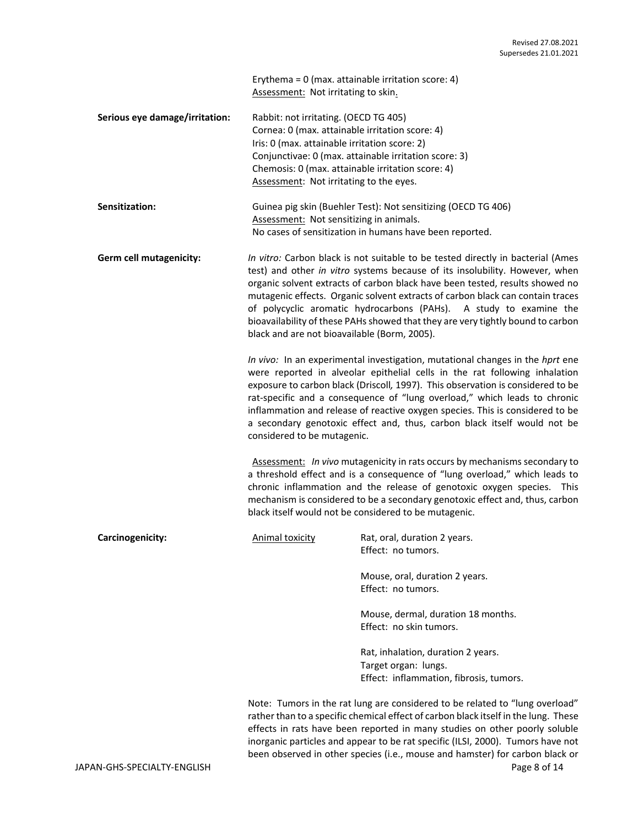Erythema = 0 (max. attainable irritation score: 4) Assessment: Not irritating to skin.

| Serious eye damage/irritation: | Rabbit: not irritating. (OECD TG 405)                 |  |
|--------------------------------|-------------------------------------------------------|--|
|                                | Cornea: 0 (max. attainable irritation score: 4)       |  |
|                                | Iris: 0 (max. attainable irritation score: 2)         |  |
|                                | Conjunctivae: 0 (max. attainable irritation score: 3) |  |
|                                | Chemosis: 0 (max. attainable irritation score: 4)     |  |
|                                | Assessment: Not irritating to the eyes.               |  |

| <b>Sensitization:</b> | Guinea pig skin (Buehler Test): Not sensitizing (OECD TG 406) |
|-----------------------|---------------------------------------------------------------|
|                       | Assessment: Not sensitizing in animals.                       |
|                       | No cases of sensitization in humans have been reported.       |

**Germ cell mutagenicity:** *In vitro:* Carbon black is not suitable to be tested directly in bacterial (Ames test) and other *in vitro* systems because of its insolubility. However, when organic solvent extracts of carbon black have been tested, results showed no mutagenic effects. Organic solvent extracts of carbon black can contain traces of polycyclic aromatic hydrocarbons (PAHs). A study to examine the bioavailability of these PAHs showed that they are very tightly bound to carbon black and are not bioavailable (Borm, 2005).

> *In vivo:* In an experimental investigation, mutational changes in the *hprt* ene were reported in alveolar epithelial cells in the rat following inhalation exposure to carbon black (Driscoll*,* 1997). This observation is considered to be rat-specific and a consequence of "lung overload," which leads to chronic inflammation and release of reactive oxygen species. This is considered to be a secondary genotoxic effect and, thus, carbon black itself would not be considered to be mutagenic.

> Assessment: *In vivo* mutagenicity in rats occurs by mechanisms secondary to a threshold effect and is a consequence of "lung overload," which leads to chronic inflammation and the release of genotoxic oxygen species. This mechanism is considered to be a secondary genotoxic effect and, thus, carbon black itself would not be considered to be mutagenic.

| Animal toxicity | Rat, oral, duration 2 years.<br>Effect: no tumors.                                                    |
|-----------------|-------------------------------------------------------------------------------------------------------|
|                 | Mouse, oral, duration 2 years.<br>Effect: no tumors.                                                  |
|                 | Mouse, dermal, duration 18 months.<br>Effect: no skin tumors.                                         |
|                 | Rat, inhalation, duration 2 years.<br>Target organ: lungs.<br>Effect: inflammation, fibrosis, tumors. |
|                 |                                                                                                       |

Note: Tumors in the rat lung are considered to be related to "lung overload" rather than to a specific chemical effect of carbon black itself in the lung. These effects in rats have been reported in many studies on other poorly soluble inorganic particles and appear to be rat specific (ILSI, 2000). Tumors have not been observed in other species (i.e., mouse and hamster) for carbon black or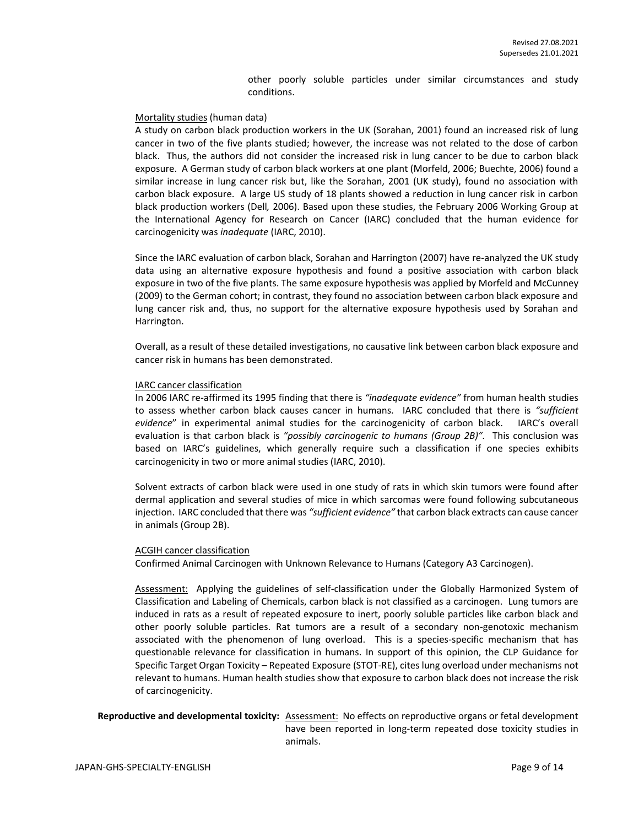other poorly soluble particles under similar circumstances and study conditions.

#### Mortality studies (human data)

A study on carbon black production workers in the UK (Sorahan, 2001) found an increased risk of lung cancer in two of the five plants studied; however, the increase was not related to the dose of carbon black. Thus, the authors did not consider the increased risk in lung cancer to be due to carbon black exposure. A German study of carbon black workers at one plant (Morfeld, 2006; Buechte, 2006) found a similar increase in lung cancer risk but, like the Sorahan, 2001 (UK study), found no association with carbon black exposure. A large US study of 18 plants showed a reduction in lung cancer risk in carbon black production workers (Dell*,* 2006). Based upon these studies, the February 2006 Working Group at the International Agency for Research on Cancer (IARC) concluded that the human evidence for carcinogenicity was *inadequate* (IARC, 2010).

Since the IARC evaluation of carbon black, Sorahan and Harrington (2007) have re-analyzed the UK study data using an alternative exposure hypothesis and found a positive association with carbon black exposure in two of the five plants. The same exposure hypothesis was applied by Morfeld and McCunney (2009) to the German cohort; in contrast, they found no association between carbon black exposure and lung cancer risk and, thus, no support for the alternative exposure hypothesis used by Sorahan and Harrington.

Overall, as a result of these detailed investigations, no causative link between carbon black exposure and cancer risk in humans has been demonstrated.

#### IARC cancer classification

In 2006 IARC re-affirmed its 1995 finding that there is *"inadequate evidence"* from human health studies to assess whether carbon black causes cancer in humans. IARC concluded that there is *"sufficient evidence*" in experimental animal studies for the carcinogenicity of carbon black. IARC's overall evaluation is that carbon black is *"possibly carcinogenic to humans (Group 2B)".* This conclusion was based on IARC's guidelines, which generally require such a classification if one species exhibits carcinogenicity in two or more animal studies (IARC, 2010).

Solvent extracts of carbon black were used in one study of rats in which skin tumors were found after dermal application and several studies of mice in which sarcomas were found following subcutaneous injection. IARC concluded that there was *"sufficient evidence"* that carbon black extracts can cause cancer in animals (Group 2B).

#### ACGIH cancer classification

Confirmed Animal Carcinogen with Unknown Relevance to Humans (Category A3 Carcinogen).

Assessment: Applying the guidelines of self-classification under the Globally Harmonized System of Classification and Labeling of Chemicals, carbon black is not classified as a carcinogen. Lung tumors are induced in rats as a result of repeated exposure to inert, poorly soluble particles like carbon black and other poorly soluble particles. Rat tumors are a result of a secondary non-genotoxic mechanism associated with the phenomenon of lung overload. This is a species-specific mechanism that has questionable relevance for classification in humans. In support of this opinion, the CLP Guidance for Specific Target Organ Toxicity – Repeated Exposure (STOT-RE), cites lung overload under mechanisms not relevant to humans. Human health studies show that exposure to carbon black does not increase the risk of carcinogenicity.

**Reproductive and developmental toxicity:** Assessment: No effects on reproductive organs or fetal development have been reported in long-term repeated dose toxicity studies in animals.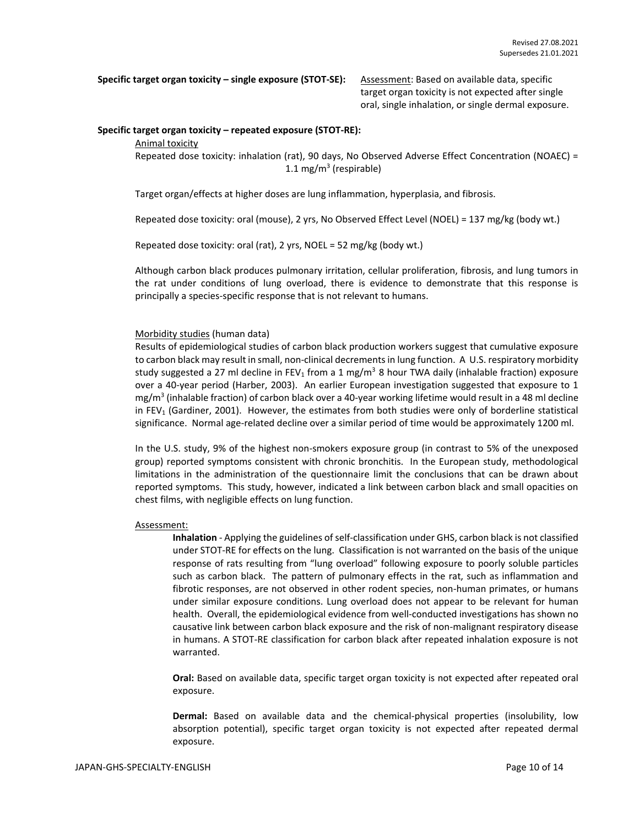**Specific target organ toxicity – single exposure (STOT-SE):** Assessment: Based on available data, specific

target organ toxicity is not expected after single oral, single inhalation, or single dermal exposure.

#### **Specific target organ toxicity – repeated exposure (STOT-RE):**

Animal toxicity

Repeated dose toxicity: inhalation (rat), 90 days, No Observed Adverse Effect Concentration (NOAEC) = 1.1 mg/m<sup>3</sup> (respirable)

Target organ/effects at higher doses are lung inflammation, hyperplasia, and fibrosis.

Repeated dose toxicity: oral (mouse), 2 yrs, No Observed Effect Level (NOEL) = 137 mg/kg (body wt.)

Repeated dose toxicity: oral (rat), 2 yrs, NOEL = 52 mg/kg (body wt.)

Although carbon black produces pulmonary irritation, cellular proliferation, fibrosis, and lung tumors in the rat under conditions of lung overload, there is evidence to demonstrate that this response is principally a species-specific response that is not relevant to humans.

### Morbidity studies (human data)

Results of epidemiological studies of carbon black production workers suggest that cumulative exposure to carbon black may result in small, non-clinical decrements in lung function. A U.S. respiratory morbidity study suggested a 27 ml decline in FEV<sub>1</sub> from a 1 mg/m<sup>3</sup> 8 hour TWA daily (inhalable fraction) exposure over a 40-year period (Harber, 2003). An earlier European investigation suggested that exposure to 1 mg/m<sup>3</sup> (inhalable fraction) of carbon black over a 40-year working lifetime would result in a 48 ml decline in FEV<sub>1</sub> (Gardiner, 2001). However, the estimates from both studies were only of borderline statistical significance. Normal age-related decline over a similar period of time would be approximately 1200 ml.

In the U.S. study, 9% of the highest non-smokers exposure group (in contrast to 5% of the unexposed group) reported symptoms consistent with chronic bronchitis. In the European study, methodological limitations in the administration of the questionnaire limit the conclusions that can be drawn about reported symptoms. This study, however, indicated a link between carbon black and small opacities on chest films, with negligible effects on lung function.

#### Assessment:

**Inhalation** - Applying the guidelines of self-classification under GHS, carbon black is not classified under STOT-RE for effects on the lung. Classification is not warranted on the basis of the unique response of rats resulting from "lung overload" following exposure to poorly soluble particles such as carbon black. The pattern of pulmonary effects in the rat, such as inflammation and fibrotic responses, are not observed in other rodent species, non-human primates, or humans under similar exposure conditions. Lung overload does not appear to be relevant for human health. Overall, the epidemiological evidence from well-conducted investigations has shown no causative link between carbon black exposure and the risk of non-malignant respiratory disease in humans. A STOT-RE classification for carbon black after repeated inhalation exposure is not warranted.

**Oral:** Based on available data, specific target organ toxicity is not expected after repeated oral exposure.

**Dermal:** Based on available data and the chemical-physical properties (insolubility, low absorption potential), specific target organ toxicity is not expected after repeated dermal exposure.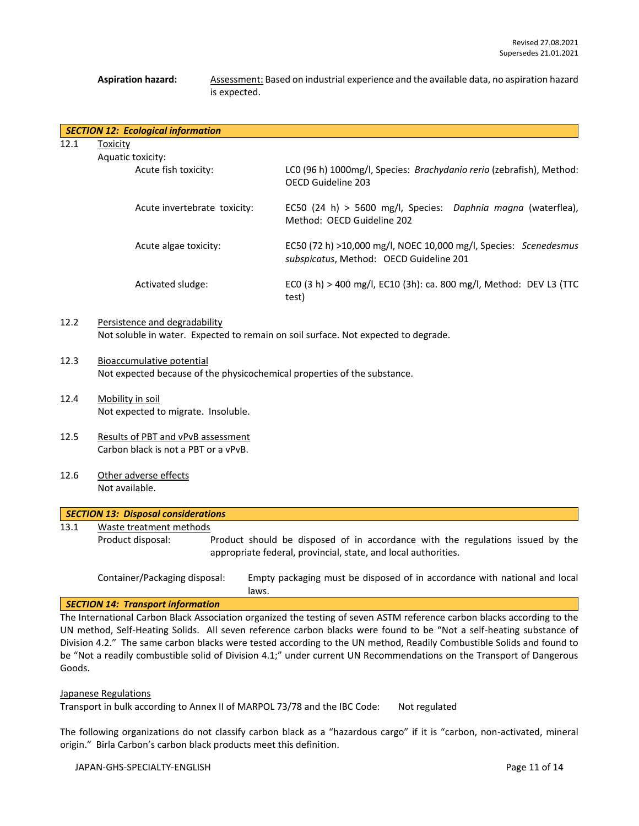#### Aspiration hazard: Assessment: Based on industrial experience and the available data, no aspiration hazard is expected.

|      | <b>SECTION 12: Ecological information</b>                                                                           |                                                                                                             |
|------|---------------------------------------------------------------------------------------------------------------------|-------------------------------------------------------------------------------------------------------------|
| 12.1 | Toxicity<br>Aquatic toxicity:                                                                                       |                                                                                                             |
|      | Acute fish toxicity:                                                                                                | LCO (96 h) 1000mg/l, Species: Brachydanio rerio (zebrafish), Method:<br>OECD Guideline 203                  |
|      | Acute invertebrate toxicity:                                                                                        | EC50 (24 h) > 5600 mg/l, Species: Daphnia magna (waterflea),<br>Method: OECD Guideline 202                  |
|      | Acute algae toxicity:                                                                                               | EC50 (72 h) >10,000 mg/l, NOEC 10,000 mg/l, Species: Scenedesmus<br>subspicatus, Method: OECD Guideline 201 |
|      | Activated sludge:                                                                                                   | ECO (3 h) > 400 mg/l, EC10 (3h): ca. 800 mg/l, Method: DEV L3 (TTC<br>test)                                 |
| 12.2 | Persistence and degradability<br>Not soluble in water. Expected to remain on soil surface. Not expected to degrade. |                                                                                                             |

- 12.3 Bioaccumulative potential Not expected because of the physicochemical properties of the substance.
- 12.4 Mobility in soil Not expected to migrate. Insoluble.
- 12.5 Results of PBT and vPvB assessment Carbon black is not a PBT or a vPvB.
- 12.6 Other adverse effects Not available.

| <b>SECTION 13: Disposal considerations</b> |                               |  |                                                                                                                                                  |  |  |  |  |
|--------------------------------------------|-------------------------------|--|--------------------------------------------------------------------------------------------------------------------------------------------------|--|--|--|--|
| Waste treatment methods<br>13.1            |                               |  |                                                                                                                                                  |  |  |  |  |
|                                            | Product disposal:             |  | Product should be disposed of in accordance with the regulations issued by the<br>appropriate federal, provincial, state, and local authorities. |  |  |  |  |
|                                            | Container/Packaging disposal: |  | Empty packaging must be disposed of in accordance with national and local                                                                        |  |  |  |  |

#### *SECTION 14: Transport information*

The International Carbon Black Association organized the testing of seven ASTM reference carbon blacks according to the UN method, Self-Heating Solids. All seven reference carbon blacks were found to be "Not a self-heating substance of Division 4.2." The same carbon blacks were tested according to the UN method, Readily Combustible Solids and found to be "Not a readily combustible solid of Division 4.1;" under current UN Recommendations on the Transport of Dangerous Goods.

#### Japanese Regulations

Transport in bulk according to Annex II of MARPOL 73/78 and the IBC Code: Not regulated

laws.

The following organizations do not classify carbon black as a "hazardous cargo" if it is "carbon, non-activated, mineral origin." Birla Carbon's carbon black products meet this definition.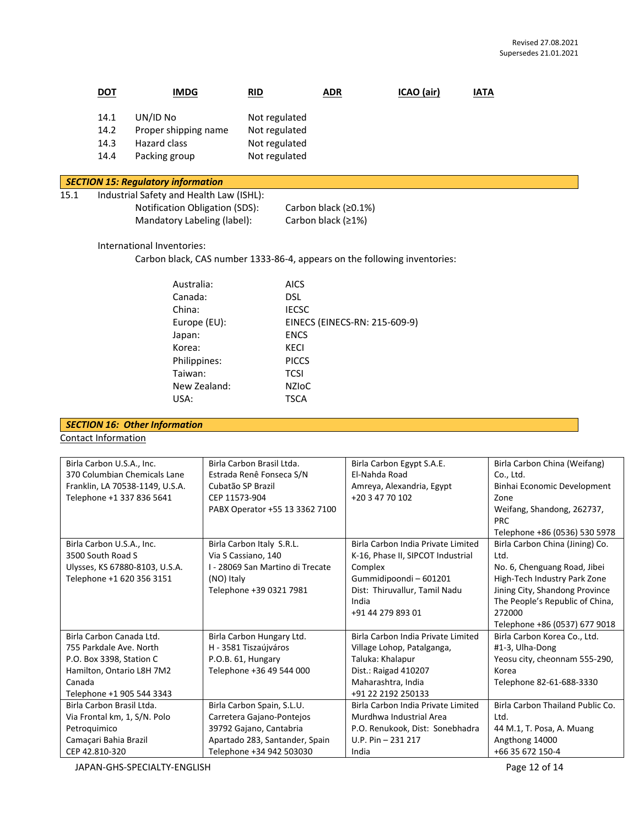|      | <u>DOT</u>                                                                                                                                                                                                                                                         | <b>IMDG</b>                                                                                                            | <b>RID</b>                                                                                                                            | <b>ADR</b>                    | ICAO (air) | <b>IATA</b> |
|------|--------------------------------------------------------------------------------------------------------------------------------------------------------------------------------------------------------------------------------------------------------------------|------------------------------------------------------------------------------------------------------------------------|---------------------------------------------------------------------------------------------------------------------------------------|-------------------------------|------------|-------------|
|      | 14.1<br>14.2<br>14.3<br>14.4                                                                                                                                                                                                                                       | UN/ID No<br>Proper shipping name<br>Hazard class<br>Packing group                                                      | Not regulated<br>Not regulated<br>Not regulated<br>Not regulated                                                                      |                               |            |             |
|      |                                                                                                                                                                                                                                                                    | <b>SECTION 15: Regulatory information</b>                                                                              |                                                                                                                                       |                               |            |             |
| 15.1 | Industrial Safety and Health Law (ISHL):<br>Notification Obligation (SDS):<br>Carbon black (≥0.1%)<br>Mandatory Labeling (label):<br>Carbon black (≥1%)<br>International Inventories:<br>Carbon black, CAS number 1333-86-4, appears on the following inventories: |                                                                                                                        |                                                                                                                                       |                               |            |             |
|      |                                                                                                                                                                                                                                                                    | Australia:<br>Canada:<br>China:<br>Europe (EU):<br>Japan:<br>Korea:<br>Philippines:<br>Taiwan:<br>New Zealand:<br>USA: | <b>AICS</b><br><b>DSL</b><br><b>IECSC</b><br><b>ENCS</b><br><b>KECI</b><br><b>PICCS</b><br><b>TCSI</b><br><b>NZIOC</b><br><b>TSCA</b> | EINECS (EINECS-RN: 215-609-9) |            |             |

# *SECTION 16: Other Information*

Contact Information

| Birla Carbon U.S.A., Inc.       | Birla Carbon Brasil Ltda.        | Birla Carbon Egypt S.A.E.          | Birla Carbon China (Weifang)     |
|---------------------------------|----------------------------------|------------------------------------|----------------------------------|
| 370 Columbian Chemicals Lane    | Estrada Renê Fonseca S/N         | El-Nahda Road                      | Co., Ltd.                        |
| Franklin, LA 70538-1149, U.S.A. | Cubatão SP Brazil                | Amreya, Alexandria, Egypt          | Binhai Economic Development      |
| Telephone +1 337 836 5641       | CEP 11573-904                    | +20 3 47 70 102                    | Zone                             |
|                                 | PABX Operator +55 13 3362 7100   |                                    | Weifang, Shandong, 262737,       |
|                                 |                                  |                                    | <b>PRC</b>                       |
|                                 |                                  |                                    | Telephone +86 (0536) 530 5978    |
| Birla Carbon U.S.A., Inc.       | Birla Carbon Italy S.R.L.        | Birla Carbon India Private Limited | Birla Carbon China (Jining) Co.  |
| 3500 South Road S               | Via S Cassiano, 140              | K-16, Phase II, SIPCOT Industrial  | Ltd.                             |
| Ulysses, KS 67880-8103, U.S.A.  | I - 28069 San Martino di Trecate | Complex                            | No. 6, Chenguang Road, Jibei     |
| Telephone +1 620 356 3151       | (NO) Italy                       | Gummidipoondi-601201               | High-Tech Industry Park Zone     |
|                                 | Telephone +39 0321 7981          | Dist: Thiruvallur, Tamil Nadu      | Jining City, Shandong Province   |
|                                 |                                  | India                              | The People's Republic of China,  |
|                                 |                                  | +91 44 279 893 01                  | 272000                           |
|                                 |                                  |                                    | Telephone +86 (0537) 677 9018    |
| Birla Carbon Canada Ltd.        | Birla Carbon Hungary Ltd.        | Birla Carbon India Private Limited | Birla Carbon Korea Co., Ltd.     |
| 755 Parkdale Ave. North         | H - 3581 Tiszaújváros            | Village Lohop, Patalganga,         | #1-3, Ulha-Dong                  |
| P.O. Box 3398, Station C        | P.O.B. 61, Hungary               | Taluka: Khalapur                   | Yeosu city, cheonnam 555-290,    |
| Hamilton, Ontario L8H 7M2       | Telephone +36 49 544 000         | Dist.: Raigad 410207               | Korea                            |
| Canada                          |                                  | Maharashtra, India                 | Telephone 82-61-688-3330         |
| Telephone +1 905 544 3343       |                                  | +91 22 2192 250133                 |                                  |
| Birla Carbon Brasil Ltda.       | Birla Carbon Spain, S.L.U.       | Birla Carbon India Private Limited | Birla Carbon Thailand Public Co. |
| Via Frontal km, 1, S/N. Polo    | Carretera Gajano-Pontejos        | Murdhwa Industrial Area            | Ltd.                             |
| Petroquimico                    | 39792 Gajano, Cantabria          | P.O. Renukook, Dist: Sonebhadra    | 44 M.1, T. Posa, A. Muang        |
| Camaçari Bahia Brazil           | Apartado 283, Santander, Spain   | $U.P. Pin - 231 217$               | Angthong 14000                   |
| CEP 42.810-320                  | Telephone +34 942 503030         | India                              | +66 35 672 150-4                 |

JAPAN-GHS-SPECIALTY-ENGLISH Page 12 of 14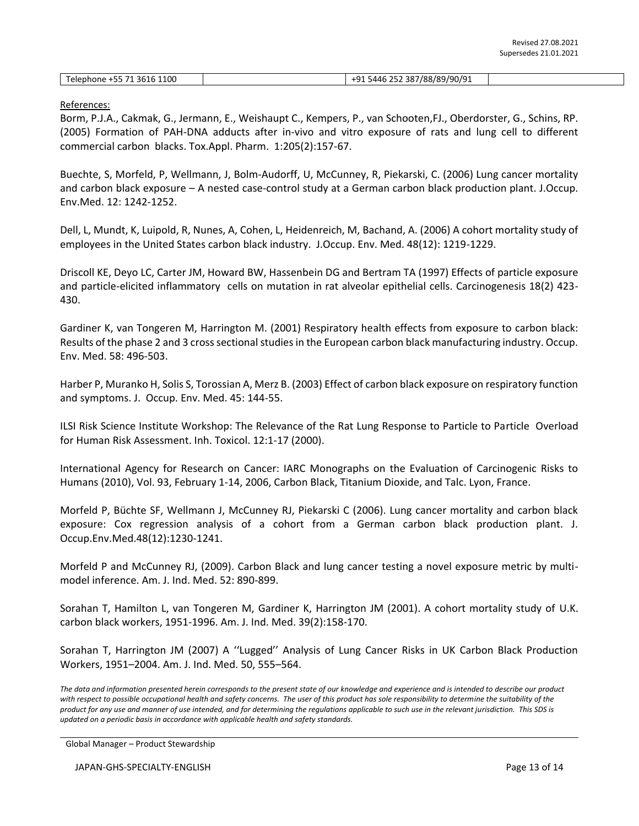| Telephone +55 71 3616 1100 | +91 5446 252 387/88/89/90/91 |  |
|----------------------------|------------------------------|--|

#### References:

Borm, P.J.A., Cakmak, G., Jermann, E., Weishaupt C., Kempers, P., van Schooten,FJ., Oberdorster, G., Schins, RP. (2005) Formation of PAH-DNA adducts after in-vivo and vitro exposure of rats and lung cell to different commercial carbon blacks. Tox.Appl. Pharm. 1:205(2):157-67.

Buechte, S, Morfeld, P, Wellmann, J, Bolm-Audorff, U, McCunney, R, Piekarski, C. (2006) Lung cancer mortality and carbon black exposure – A nested case-control study at a German carbon black production plant. J.Occup. Env.Med. 12: 1242-1252.

Dell, L, Mundt, K, Luipold, R, Nunes, A, Cohen, L, Heidenreich, M, Bachand, A. (2006) A cohort mortality study of employees in the United States carbon black industry. J.Occup. Env. Med. 48(12): 1219-1229.

Driscoll KE, Deyo LC, Carter JM, Howard BW, Hassenbein DG and Bertram TA (1997) Effects of particle exposure and particle-elicited inflammatory cells on mutation in rat alveolar epithelial cells. Carcinogenesis 18(2) 423- 430.

Gardiner K, van Tongeren M, Harrington M. (2001) Respiratory health effects from exposure to carbon black: Results of the phase 2 and 3 cross sectional studies in the European carbon black manufacturing industry. Occup. Env. Med. 58: 496-503.

Harber P, Muranko H, Solis S, Torossian A, Merz B. (2003) Effect of carbon black exposure on respiratory function and symptoms. J. Occup. Env. Med. 45: 144-55.

ILSI Risk Science Institute Workshop: The Relevance of the Rat Lung Response to Particle to Particle Overload for Human Risk Assessment. Inh. Toxicol. 12:1-17 (2000).

International Agency for Research on Cancer: IARC Monographs on the Evaluation of Carcinogenic Risks to Humans (2010), Vol. 93, February 1-14, 2006, Carbon Black, Titanium Dioxide, and Talc. Lyon, France.

Morfeld P, Büchte SF, Wellmann J, McCunney RJ, Piekarski C (2006). Lung cancer mortality and carbon black exposure: Cox regression analysis of a cohort from a German carbon black production plant. J. Occup.Env.Med.48(12):1230-1241.

Morfeld P and McCunney RJ, (2009). Carbon Black and lung cancer testing a novel exposure metric by multimodel inference. Am. J. Ind. Med. 52: 890-899.

Sorahan T, Hamilton L, van Tongeren M, Gardiner K, Harrington JM (2001). A cohort mortality study of U.K. carbon black workers, 1951-1996. Am. J. Ind. Med. 39(2):158-170.

Sorahan T, Harrington JM (2007) A ''Lugged'' Analysis of Lung Cancer Risks in UK Carbon Black Production Workers, 1951–2004. Am. J. Ind. Med. 50, 555–564.

*The data and information presented herein corresponds to the present state of our knowledge and experience and is intended to describe our product with respect to possible occupational health and safety concerns. The user of this product has sole responsibility to determine the suitability of the product for any use and manner of use intended, and for determining the regulations applicable to such use in the relevant jurisdiction. This SDS is updated on a periodic basis in accordance with applicable health and safety standards.*

Global Manager – Product Stewardship